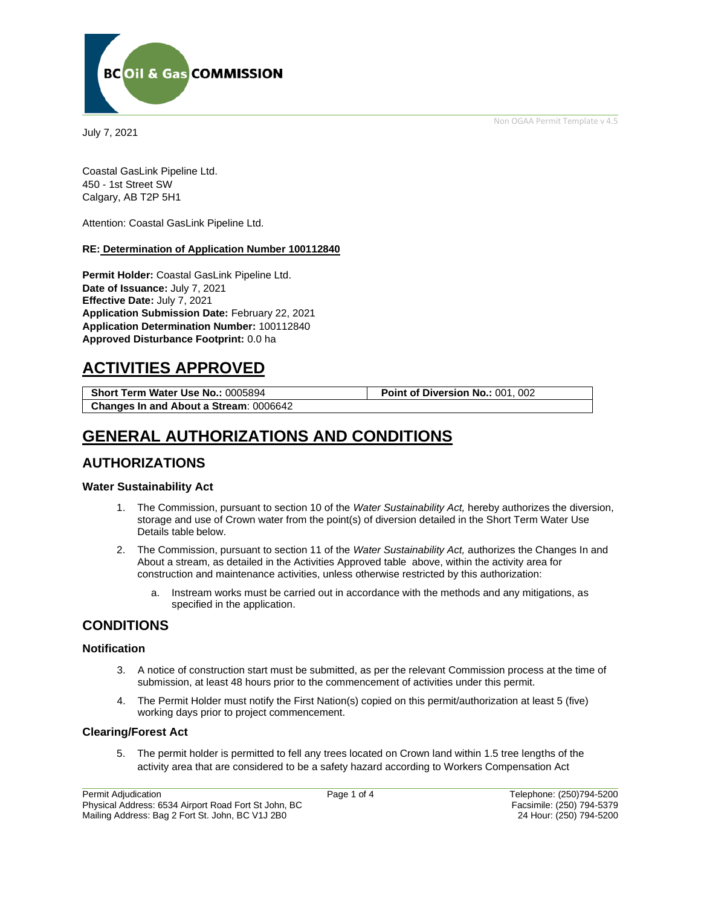Non OGAA Permit Template v 4.5



July 7, 2021

Coastal GasLink Pipeline Ltd. 450 - 1st Street SW Calgary, AB T2P 5H1

Attention: Coastal GasLink Pipeline Ltd.

#### **RE: Determination of Application Number 100112840**

**Permit Holder:** Coastal GasLink Pipeline Ltd. **Date of Issuance:** July 7, 2021 **Effective Date:** July 7, 2021 **Application Submission Date:** February 22, 2021 **Application Determination Number:** 100112840 **Approved Disturbance Footprint:** 0.0 ha

## **ACTIVITIES APPROVED**

| <b>Short Term Water Use No.: 0005894</b>      | Point of Diversion No.: 001, 002 |
|-----------------------------------------------|----------------------------------|
| <b>Changes In and About a Stream: 0006642</b> |                                  |

# **GENERAL AUTHORIZATIONS AND CONDITIONS**

### **AUTHORIZATIONS**

#### **Water Sustainability Act**

- 1. The Commission, pursuant to section 10 of the *Water Sustainability Act,* hereby authorizes the diversion, storage and use of Crown water from the point(s) of diversion detailed in the Short Term Water Use Details table below.
- 2. The Commission, pursuant to section 11 of the *Water Sustainability Act,* authorizes the Changes In and About a stream, as detailed in the Activities Approved table above, within the activity area for construction and maintenance activities, unless otherwise restricted by this authorization:
	- a. Instream works must be carried out in accordance with the methods and any mitigations, as specified in the application.

### **CONDITIONS**

#### **Notification**

- 3. A notice of construction start must be submitted, as per the relevant Commission process at the time of submission, at least 48 hours prior to the commencement of activities under this permit.
- 4. The Permit Holder must notify the First Nation(s) copied on this permit/authorization at least 5 (five) working days prior to project commencement.

#### **Clearing/Forest Act**

5. The permit holder is permitted to fell any trees located on Crown land within 1.5 tree lengths of the activity area that are considered to be a safety hazard according to Workers Compensation Act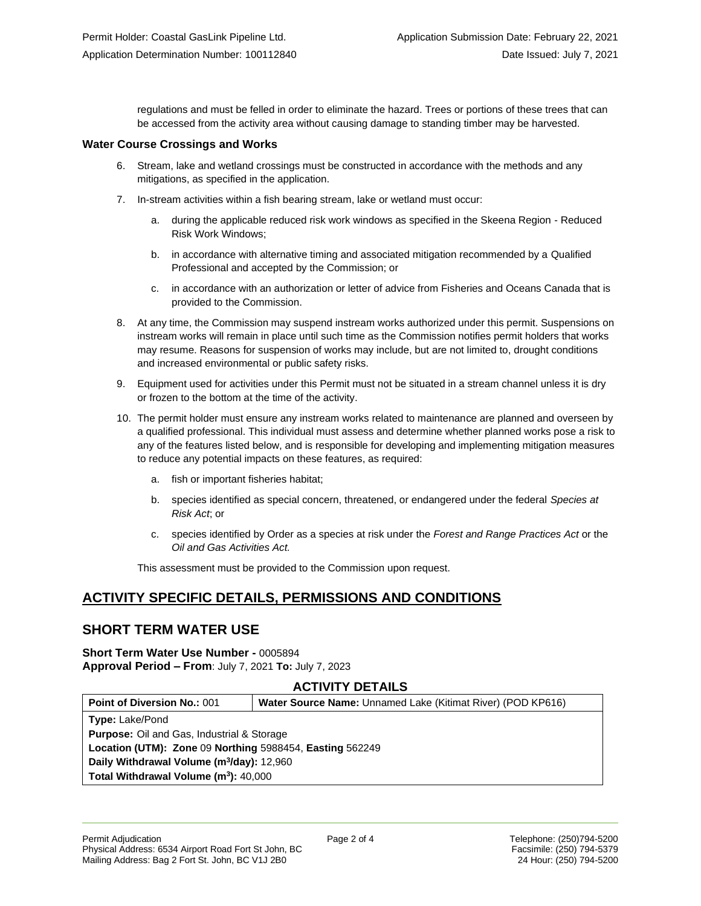regulations and must be felled in order to eliminate the hazard. Trees or portions of these trees that can be accessed from the activity area without causing damage to standing timber may be harvested.

#### **Water Course Crossings and Works**

- 6. Stream, lake and wetland crossings must be constructed in accordance with the methods and any mitigations, as specified in the application.
- 7. In-stream activities within a fish bearing stream, lake or wetland must occur:
	- during the applicable reduced risk work windows as specified in the Skeena Region Reduced Risk Work Windows;
	- b. in accordance with alternative timing and associated mitigation recommended by a Qualified Professional and accepted by the Commission; or
	- c. in accordance with an authorization or letter of advice from Fisheries and Oceans Canada that is provided to the Commission.
- 8. At any time, the Commission may suspend instream works authorized under this permit. Suspensions on instream works will remain in place until such time as the Commission notifies permit holders that works may resume. Reasons for suspension of works may include, but are not limited to, drought conditions and increased environmental or public safety risks.
- 9. Equipment used for activities under this Permit must not be situated in a stream channel unless it is dry or frozen to the bottom at the time of the activity.
- 10. The permit holder must ensure any instream works related to maintenance are planned and overseen by a qualified professional. This individual must assess and determine whether planned works pose a risk to any of the features listed below, and is responsible for developing and implementing mitigation measures to reduce any potential impacts on these features, as required:
	- a. fish or important fisheries habitat;
	- b. species identified as special concern, threatened, or endangered under the federal *Species at Risk Act*; or
	- c. species identified by Order as a species at risk under the *Forest and Range Practices Act* or the *Oil and Gas Activities Act.*

This assessment must be provided to the Commission upon request.

### **ACTIVITY SPECIFIC DETAILS, PERMISSIONS AND CONDITIONS**

#### **SHORT TERM WATER USE**

### **Short Term Water Use Number -** 0005894

**Approval Period – From**: July 7, 2021 **To:** July 7, 2023

#### **ACTIVITY DETAILS**

| <b>Type: Lake/Pond</b><br><b>Purpose:</b> Oil and Gas, Industrial & Storage<br>Location (UTM): Zone 09 Northing 5988454, Easting 562249<br>Daily Withdrawal Volume (m <sup>3</sup> /day): 12,960<br>Total Withdrawal Volume (m <sup>3</sup> ): 40,000 | <b>Point of Diversion No.: 001</b> | Water Source Name: Unnamed Lake (Kitimat River) (POD KP616) |  |
|-------------------------------------------------------------------------------------------------------------------------------------------------------------------------------------------------------------------------------------------------------|------------------------------------|-------------------------------------------------------------|--|
|                                                                                                                                                                                                                                                       |                                    |                                                             |  |
|                                                                                                                                                                                                                                                       |                                    |                                                             |  |
|                                                                                                                                                                                                                                                       |                                    |                                                             |  |
|                                                                                                                                                                                                                                                       |                                    |                                                             |  |
|                                                                                                                                                                                                                                                       |                                    |                                                             |  |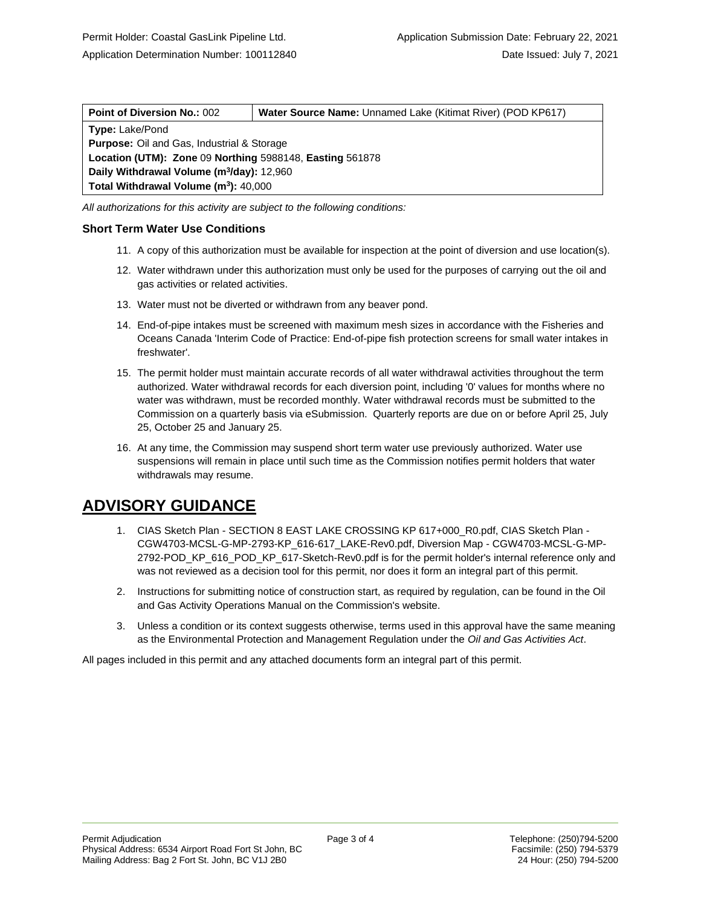| <b>Point of Diversion No.: 002</b>                       | Water Source Name: Unnamed Lake (Kitimat River) (POD KP617) |  |
|----------------------------------------------------------|-------------------------------------------------------------|--|
| <b>Type: Lake/Pond</b>                                   |                                                             |  |
| <b>Purpose:</b> Oil and Gas, Industrial & Storage        |                                                             |  |
| Location (UTM): Zone 09 Northing 5988148, Easting 561878 |                                                             |  |
| Daily Withdrawal Volume (m <sup>3</sup> /day): 12,960    |                                                             |  |
| Total Withdrawal Volume (m <sup>3</sup> ): 40,000        |                                                             |  |
|                                                          |                                                             |  |

*All authorizations for this activity are subject to the following conditions:*

#### **Short Term Water Use Conditions**

- 11. A copy of this authorization must be available for inspection at the point of diversion and use location(s).
- 12. Water withdrawn under this authorization must only be used for the purposes of carrying out the oil and gas activities or related activities.
- 13. Water must not be diverted or withdrawn from any beaver pond.
- 14. End-of-pipe intakes must be screened with maximum mesh sizes in accordance with the Fisheries and Oceans Canada 'Interim Code of Practice: End-of-pipe fish protection screens for small water intakes in freshwater'.
- 15. The permit holder must maintain accurate records of all water withdrawal activities throughout the term authorized. Water withdrawal records for each diversion point, including '0' values for months where no water was withdrawn, must be recorded monthly. Water withdrawal records must be submitted to the Commission on a quarterly basis via eSubmission. Quarterly reports are due on or before April 25, July 25, October 25 and January 25.
- 16. At any time, the Commission may suspend short term water use previously authorized. Water use suspensions will remain in place until such time as the Commission notifies permit holders that water withdrawals may resume.

## **ADVISORY GUIDANCE**

- 1. CIAS Sketch Plan SECTION 8 EAST LAKE CROSSING KP 617+000\_R0.pdf, CIAS Sketch Plan CGW4703-MCSL-G-MP-2793-KP\_616-617\_LAKE-Rev0.pdf, Diversion Map - CGW4703-MCSL-G-MP-2792-POD\_KP\_616\_POD\_KP\_617-Sketch-Rev0.pdf is for the permit holder's internal reference only and was not reviewed as a decision tool for this permit, nor does it form an integral part of this permit.
- 2. Instructions for submitting notice of construction start, as required by regulation, can be found in the Oil and Gas Activity Operations Manual on the Commission's website.
- 3. Unless a condition or its context suggests otherwise, terms used in this approval have the same meaning as the Environmental Protection and Management Regulation under the *Oil and Gas Activities Act*.

All pages included in this permit and any attached documents form an integral part of this permit.